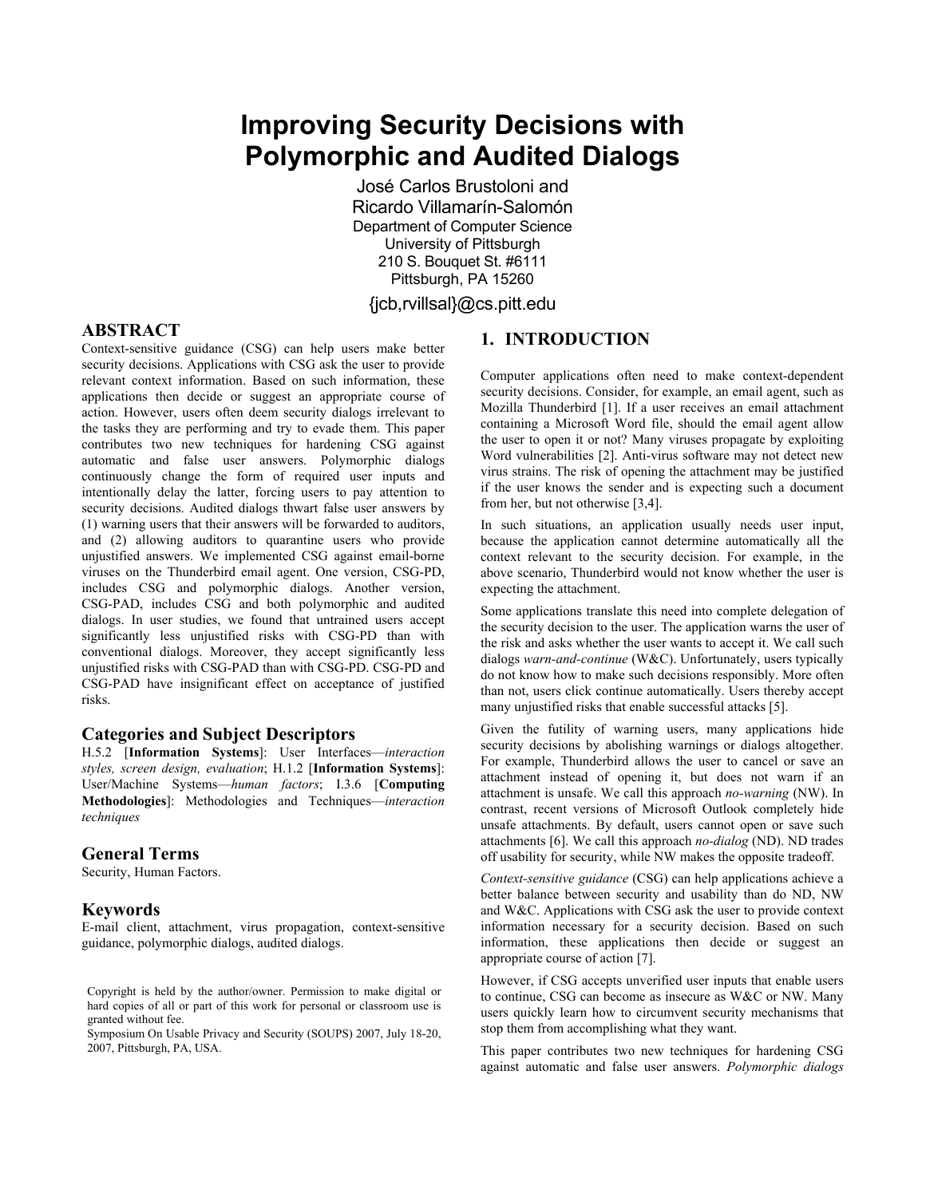# **Improving Security Decisions with Polymorphic and Audited Dialogs**

 José Carlos Brustoloni and Ricardo Villamarín-Salomón Department of Computer Science University of Pittsburgh 210 S. Bouquet St. #6111 Pittsburgh, PA 15260

{jcb,rvillsal}@cs.pitt.edu

#### **ABSTRACT**

Context-sensitive guidance (CSG) can help users make better security decisions. Applications with CSG ask the user to provide relevant context information. Based on such information, these applications then decide or suggest an appropriate course of action. However, users often deem security dialogs irrelevant to the tasks they are performing and try to evade them. This paper contributes two new techniques for hardening CSG against automatic and false user answers. Polymorphic dialogs continuously change the form of required user inputs and intentionally delay the latter, forcing users to pay attention to security decisions. Audited dialogs thwart false user answers by (1) warning users that their answers will be forwarded to auditors, and (2) allowing auditors to quarantine users who provide unjustified answers. We implemented CSG against email-borne viruses on the Thunderbird email agent. One version, CSG-PD, includes CSG and polymorphic dialogs. Another version, CSG-PAD, includes CSG and both polymorphic and audited dialogs. In user studies, we found that untrained users accept significantly less unjustified risks with CSG-PD than with conventional dialogs. Moreover, they accept significantly less unjustified risks with CSG-PAD than with CSG-PD. CSG-PD and CSG-PAD have insignificant effect on acceptance of justified risks.

#### **Categories and Subject Descriptors**

H.5.2 [**Information Systems**]: User Interfaces—*interaction styles, screen design, evaluation*; H.1.2 [**Information Systems**]: User/Machine Systems—*human factors*; I.3.6 [**Computing Methodologies**]: Methodologies and Techniques—*interaction techniques* 

#### **General Terms**

Security, Human Factors.

### **Keywords**

E-mail client, attachment, virus propagation, context-sensitive guidance, polymorphic dialogs, audited dialogs.

Symposium On Usable Privacy and Security (SOUPS) 2007, July 18-20, 2007, Pittsburgh, PA, USA.

## **1. INTRODUCTION**

Computer applications often need to make context-dependent security decisions. Consider, for example, an email agent, such as Mozilla Thunderbird [1]. If a user receives an email attachment containing a Microsoft Word file, should the email agent allow the user to open it or not? Many viruses propagate by exploiting Word vulnerabilities [2]. Anti-virus software may not detect new virus strains. The risk of opening the attachment may be justified if the user knows the sender and is expecting such a document from her, but not otherwise [3,4].

In such situations, an application usually needs user input, because the application cannot determine automatically all the context relevant to the security decision. For example, in the above scenario, Thunderbird would not know whether the user is expecting the attachment.

Some applications translate this need into complete delegation of the security decision to the user. The application warns the user of the risk and asks whether the user wants to accept it. We call such dialogs *warn-and-continue* (W&C). Unfortunately, users typically do not know how to make such decisions responsibly. More often than not, users click continue automatically. Users thereby accept many unjustified risks that enable successful attacks [5].

Given the futility of warning users, many applications hide security decisions by abolishing warnings or dialogs altogether. For example, Thunderbird allows the user to cancel or save an attachment instead of opening it, but does not warn if an attachment is unsafe. We call this approach *no-warning* (NW). In contrast, recent versions of Microsoft Outlook completely hide unsafe attachments. By default, users cannot open or save such attachments [6]. We call this approach *no-dialog* (ND). ND trades off usability for security, while NW makes the opposite tradeoff.

*Context-sensitive guidance* (CSG) can help applications achieve a better balance between security and usability than do ND, NW and W&C. Applications with CSG ask the user to provide context information necessary for a security decision. Based on such information, these applications then decide or suggest an appropriate course of action [7].

However, if CSG accepts unverified user inputs that enable users to continue, CSG can become as insecure as W&C or NW. Many users quickly learn how to circumvent security mechanisms that stop them from accomplishing what they want.

This paper contributes two new techniques for hardening CSG against automatic and false user answers. *Polymorphic dialogs*

Copyright is held by the author/owner. Permission to make digital or hard copies of all or part of this work for personal or classroom use is granted without fee.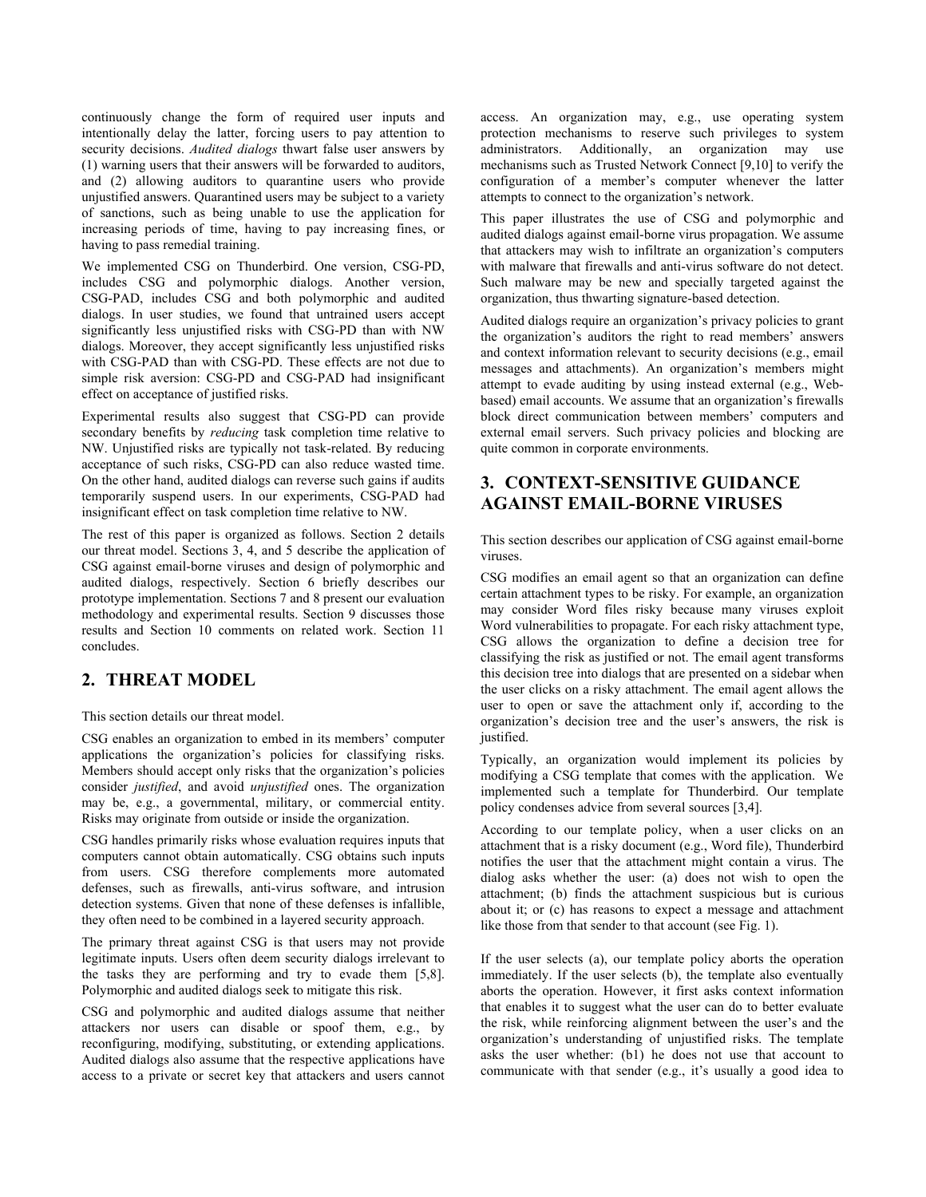continuously change the form of required user inputs and intentionally delay the latter, forcing users to pay attention to security decisions. *Audited dialogs* thwart false user answers by (1) warning users that their answers will be forwarded to auditors, and (2) allowing auditors to quarantine users who provide unjustified answers. Quarantined users may be subject to a variety of sanctions, such as being unable to use the application for increasing periods of time, having to pay increasing fines, or having to pass remedial training.

We implemented CSG on Thunderbird. One version, CSG-PD, includes CSG and polymorphic dialogs. Another version, CSG-PAD, includes CSG and both polymorphic and audited dialogs. In user studies, we found that untrained users accept significantly less unjustified risks with CSG-PD than with NW dialogs. Moreover, they accept significantly less unjustified risks with CSG-PAD than with CSG-PD. These effects are not due to simple risk aversion: CSG-PD and CSG-PAD had insignificant effect on acceptance of justified risks.

Experimental results also suggest that CSG-PD can provide secondary benefits by *reducing* task completion time relative to NW. Unjustified risks are typically not task-related. By reducing acceptance of such risks, CSG-PD can also reduce wasted time. On the other hand, audited dialogs can reverse such gains if audits temporarily suspend users. In our experiments, CSG-PAD had insignificant effect on task completion time relative to NW.

The rest of this paper is organized as follows. Section 2 details our threat model. Sections 3, 4, and 5 describe the application of CSG against email-borne viruses and design of polymorphic and audited dialogs, respectively. Section 6 briefly describes our prototype implementation. Sections 7 and 8 present our evaluation methodology and experimental results. Section 9 discusses those results and Section 10 comments on related work. Section 11 concludes.

## **2. THREAT MODEL**

This section details our threat model.

CSG enables an organization to embed in its members' computer applications the organization's policies for classifying risks. Members should accept only risks that the organization's policies consider *justified*, and avoid *unjustified* ones. The organization may be, e.g., a governmental, military, or commercial entity. Risks may originate from outside or inside the organization.

CSG handles primarily risks whose evaluation requires inputs that computers cannot obtain automatically. CSG obtains such inputs from users. CSG therefore complements more automated defenses, such as firewalls, anti-virus software, and intrusion detection systems. Given that none of these defenses is infallible, they often need to be combined in a layered security approach.

The primary threat against CSG is that users may not provide legitimate inputs. Users often deem security dialogs irrelevant to the tasks they are performing and try to evade them [5,8]. Polymorphic and audited dialogs seek to mitigate this risk.

CSG and polymorphic and audited dialogs assume that neither attackers nor users can disable or spoof them, e.g., by reconfiguring, modifying, substituting, or extending applications. Audited dialogs also assume that the respective applications have access to a private or secret key that attackers and users cannot

access. An organization may, e.g., use operating system protection mechanisms to reserve such privileges to system administrators. Additionally, an organization may use mechanisms such as Trusted Network Connect [9,10] to verify the configuration of a member's computer whenever the latter attempts to connect to the organization's network.

This paper illustrates the use of CSG and polymorphic and audited dialogs against email-borne virus propagation. We assume that attackers may wish to infiltrate an organization's computers with malware that firewalls and anti-virus software do not detect. Such malware may be new and specially targeted against the organization, thus thwarting signature-based detection.

Audited dialogs require an organization's privacy policies to grant the organization's auditors the right to read members' answers and context information relevant to security decisions (e.g., email messages and attachments). An organization's members might attempt to evade auditing by using instead external (e.g., Webbased) email accounts. We assume that an organization's firewalls block direct communication between members' computers and external email servers. Such privacy policies and blocking are quite common in corporate environments.

# **3. CONTEXT-SENSITIVE GUIDANCE AGAINST EMAIL-BORNE VIRUSES**

This section describes our application of CSG against email-borne viruses.

CSG modifies an email agent so that an organization can define certain attachment types to be risky. For example, an organization may consider Word files risky because many viruses exploit Word vulnerabilities to propagate. For each risky attachment type, CSG allows the organization to define a decision tree for classifying the risk as justified or not. The email agent transforms this decision tree into dialogs that are presented on a sidebar when the user clicks on a risky attachment. The email agent allows the user to open or save the attachment only if, according to the organization's decision tree and the user's answers, the risk is justified.

Typically, an organization would implement its policies by modifying a CSG template that comes with the application. We implemented such a template for Thunderbird. Our template policy condenses advice from several sources [3,4].

According to our template policy, when a user clicks on an attachment that is a risky document (e.g., Word file), Thunderbird notifies the user that the attachment might contain a virus. The dialog asks whether the user: (a) does not wish to open the attachment; (b) finds the attachment suspicious but is curious about it; or (c) has reasons to expect a message and attachment like those from that sender to that account (see Fig. 1).

If the user selects (a), our template policy aborts the operation immediately. If the user selects (b), the template also eventually aborts the operation. However, it first asks context information that enables it to suggest what the user can do to better evaluate the risk, while reinforcing alignment between the user's and the organization's understanding of unjustified risks. The template asks the user whether: (b1) he does not use that account to communicate with that sender (e.g., it's usually a good idea to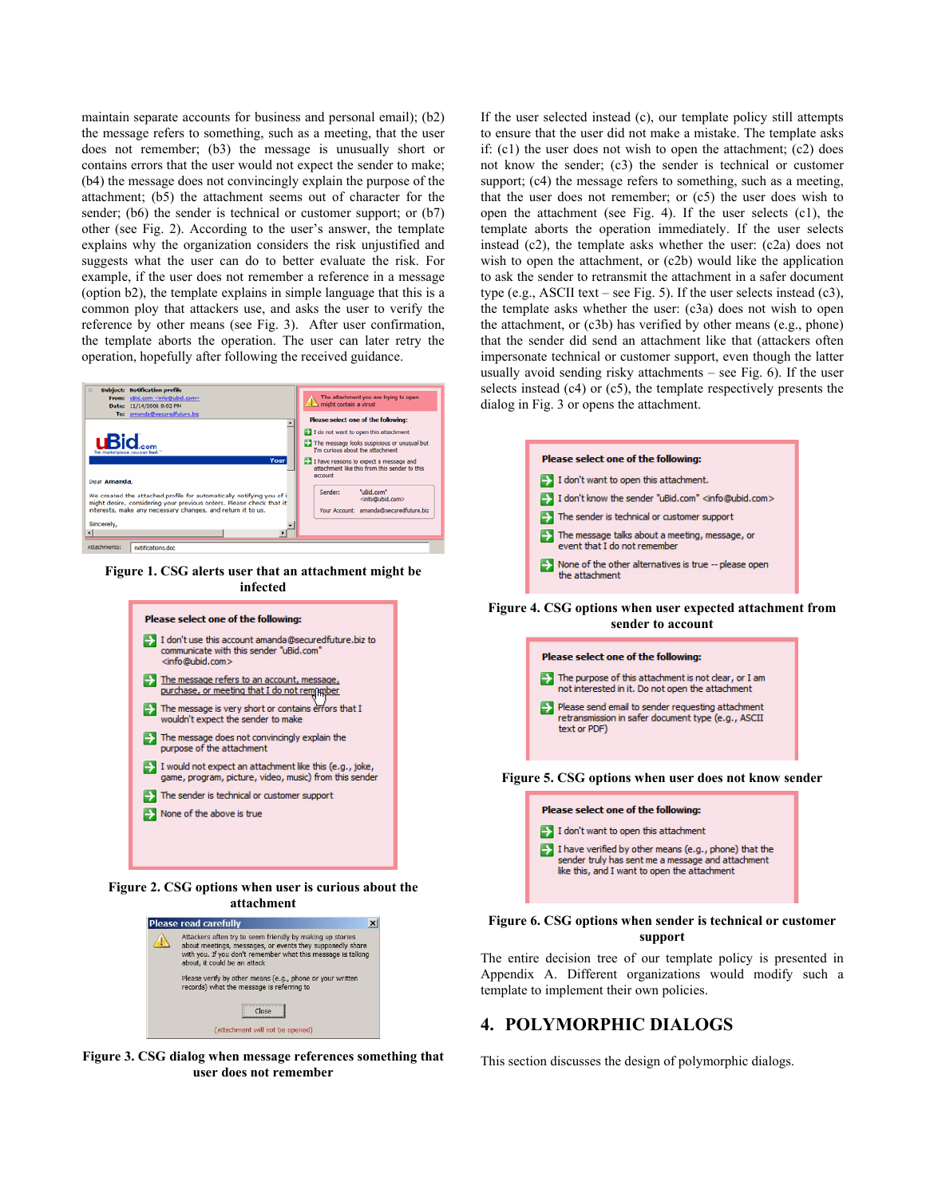maintain separate accounts for business and personal email); (b2) the message refers to something, such as a meeting, that the user does not remember; (b3) the message is unusually short or contains errors that the user would not expect the sender to make; (b4) the message does not convincingly explain the purpose of the attachment; (b5) the attachment seems out of character for the sender; (b6) the sender is technical or customer support; or (b7) other (see Fig. 2). According to the user's answer, the template explains why the organization considers the risk unjustified and suggests what the user can do to better evaluate the risk. For example, if the user does not remember a reference in a message (option b2), the template explains in simple language that this is a common ploy that attackers use, and asks the user to verify the reference by other means (see Fig. 3). After user confirmation, the template aborts the operation. The user can later retry the operation, hopefully after following the received guidance.



#### **Figure 1. CSG alerts user that an attachment might be infected**



**Figure 2. CSG options when user is curious about the attachment** 



**Figure 3. CSG dialog when message references something that user does not remember** 

If the user selected instead (c), our template policy still attempts to ensure that the user did not make a mistake. The template asks if: (c1) the user does not wish to open the attachment; (c2) does not know the sender; (c3) the sender is technical or customer support; (c4) the message refers to something, such as a meeting, that the user does not remember; or (c5) the user does wish to open the attachment (see Fig. 4). If the user selects (c1), the template aborts the operation immediately. If the user selects instead (c2), the template asks whether the user: (c2a) does not wish to open the attachment, or (c2b) would like the application to ask the sender to retransmit the attachment in a safer document type (e.g., ASCII text – see Fig. 5). If the user selects instead  $(c3)$ , the template asks whether the user: (c3a) does not wish to open the attachment, or (c3b) has verified by other means (e.g., phone) that the sender did send an attachment like that (attackers often impersonate technical or customer support, even though the latter usually avoid sending risky attachments – see Fig. 6). If the user selects instead (c4) or (c5), the template respectively presents the dialog in Fig. 3 or opens the attachment.







#### **Figure 6. CSG options when sender is technical or customer support**

The entire decision tree of our template policy is presented in Appendix A. Different organizations would modify such a template to implement their own policies.

# **4. POLYMORPHIC DIALOGS**

This section discusses the design of polymorphic dialogs.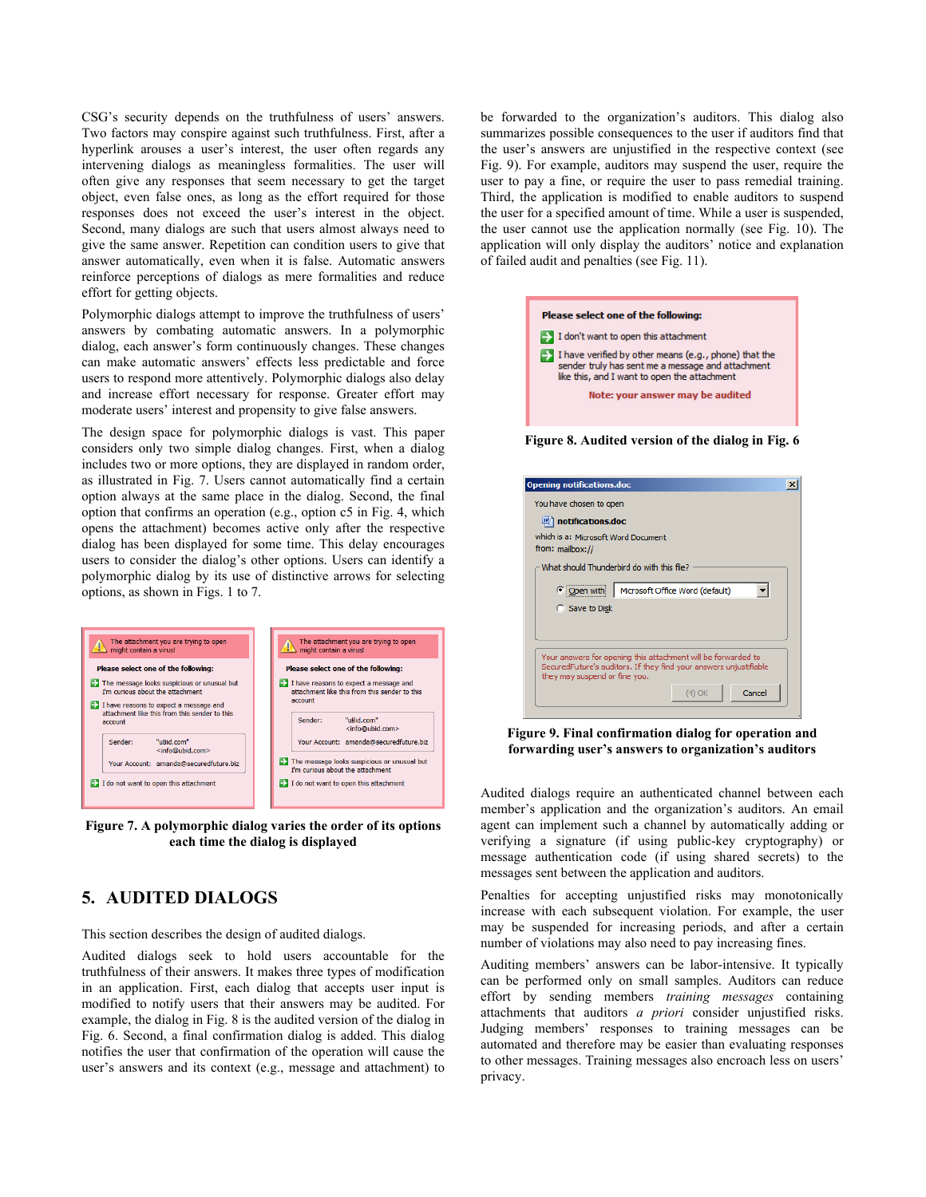CSG's security depends on the truthfulness of users' answers. Two factors may conspire against such truthfulness. First, after a hyperlink arouses a user's interest, the user often regards any intervening dialogs as meaningless formalities. The user will often give any responses that seem necessary to get the target object, even false ones, as long as the effort required for those responses does not exceed the user's interest in the object. Second, many dialogs are such that users almost always need to give the same answer. Repetition can condition users to give that answer automatically, even when it is false. Automatic answers reinforce perceptions of dialogs as mere formalities and reduce effort for getting objects.

Polymorphic dialogs attempt to improve the truthfulness of users' answers by combating automatic answers. In a polymorphic dialog, each answer's form continuously changes. These changes can make automatic answers' effects less predictable and force users to respond more attentively. Polymorphic dialogs also delay and increase effort necessary for response. Greater effort may moderate users' interest and propensity to give false answers.

The design space for polymorphic dialogs is vast. This paper considers only two simple dialog changes. First, when a dialog includes two or more options, they are displayed in random order, as illustrated in Fig. 7. Users cannot automatically find a certain option always at the same place in the dialog. Second, the final option that confirms an operation (e.g., option c5 in Fig. 4, which opens the attachment) becomes active only after the respective dialog has been displayed for some time. This delay encourages users to consider the dialog's other options. Users can identify a polymorphic dialog by its use of distinctive arrows for selecting options, as shown in Figs. 1 to 7.



**Figure 7. A polymorphic dialog varies the order of its options each time the dialog is displayed** 

# **5. AUDITED DIALOGS**

This section describes the design of audited dialogs.

Audited dialogs seek to hold users accountable for the truthfulness of their answers. It makes three types of modification in an application. First, each dialog that accepts user input is modified to notify users that their answers may be audited. For example, the dialog in Fig. 8 is the audited version of the dialog in Fig. 6. Second, a final confirmation dialog is added. This dialog notifies the user that confirmation of the operation will cause the user's answers and its context (e.g., message and attachment) to be forwarded to the organization's auditors. This dialog also summarizes possible consequences to the user if auditors find that the user's answers are unjustified in the respective context (see Fig. 9). For example, auditors may suspend the user, require the user to pay a fine, or require the user to pass remedial training. Third, the application is modified to enable auditors to suspend the user for a specified amount of time. While a user is suspended, the user cannot use the application normally (see Fig. 10). The application will only display the auditors' notice and explanation of failed audit and penalties (see Fig. 11).



**Figure 8. Audited version of the dialog in Fig. 6** 

| <b>Opening notifications.doc</b>                                                                                                                                                          |  |
|-------------------------------------------------------------------------------------------------------------------------------------------------------------------------------------------|--|
| You have chosen to open                                                                                                                                                                   |  |
| notifications.doc                                                                                                                                                                         |  |
| which is a: Microsoft Word Document<br>from: mailbox://                                                                                                                                   |  |
| What should Thunderbird do with this file?                                                                                                                                                |  |
| C Open with<br>Microsoft Office Word (default)                                                                                                                                            |  |
| C Save to Disk                                                                                                                                                                            |  |
|                                                                                                                                                                                           |  |
| Your answers for opening this attachment will be forwarded to<br>SecuredFuture's auditors. If they find your answers unjustifiable<br>they may suspend or fine you.<br>Cancel<br>$(4)$ OK |  |

**Figure 9. Final confirmation dialog for operation and forwarding user's answers to organization's auditors** 

Audited dialogs require an authenticated channel between each member's application and the organization's auditors. An email agent can implement such a channel by automatically adding or verifying a signature (if using public-key cryptography) or message authentication code (if using shared secrets) to the messages sent between the application and auditors.

Penalties for accepting unjustified risks may monotonically increase with each subsequent violation. For example, the user may be suspended for increasing periods, and after a certain number of violations may also need to pay increasing fines.

Auditing members' answers can be labor-intensive. It typically can be performed only on small samples. Auditors can reduce effort by sending members *training messages* containing attachments that auditors *a priori* consider unjustified risks. Judging members' responses to training messages can be automated and therefore may be easier than evaluating responses to other messages. Training messages also encroach less on users' privacy.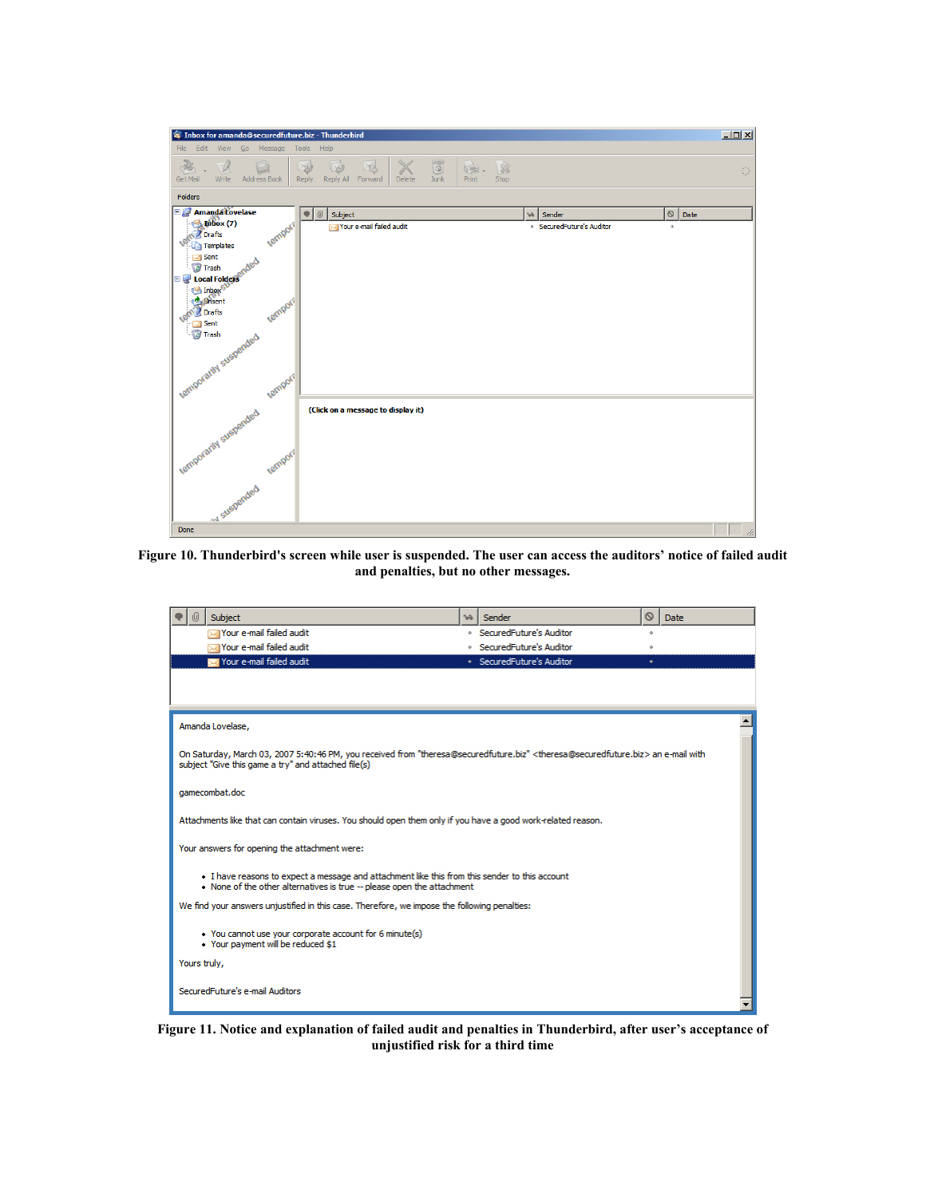| Inbox for amanda@securedfuture.biz - Thunderbird                                                                                                                                                                                        |                                                                                                                      |                |                           |                 | $-12X$                  |
|-----------------------------------------------------------------------------------------------------------------------------------------------------------------------------------------------------------------------------------------|----------------------------------------------------------------------------------------------------------------------|----------------|---------------------------|-----------------|-------------------------|
| File<br>Edit<br>Go Message<br>Tools<br>View                                                                                                                                                                                             | Help                                                                                                                 |                |                           |                 |                         |
| D<br>7)<br><b>Address Book</b><br><b>Get Mail</b><br>Write                                                                                                                                                                              | $\overline{\mathbb{Q}}$<br>8<br>70<br>20<br>D<br>自.<br>Reply All Forward<br>Delete<br>Junk<br>Print<br>Stop<br>Reply |                |                           |                 | $\langle \cdot \rangle$ |
| Folders                                                                                                                                                                                                                                 |                                                                                                                      |                |                           |                 |                         |
| <b>B</b> Amanda Lovelase                                                                                                                                                                                                                | $\textcircled{\scriptsize{0}}$<br>$\bullet$<br>Subject                                                               | $\sigma\sigma$ | Sender                    | $\circ$<br>Date |                         |
| $\triangle$ inbox (7)<br>tempor<br><b>Orafts</b><br>Templates<br>$\Box$ Sent<br><b>Frash</b><br>Local Folders and Both<br><b>B</b> Inbox <sup>51</sup><br>temport<br><b>A</b> Drafts<br>$\Box$ Sent<br>temporantly suspended<br>temport | Your e-mail failed audit                                                                                             |                | · SecuredFuture's Auditor | $\circ$         |                         |
|                                                                                                                                                                                                                                         | (Click on a message to display it)                                                                                   |                |                           |                 |                         |
| temporantly suspended<br>temport                                                                                                                                                                                                        |                                                                                                                      |                |                           |                 |                         |
| In suspended<br>Done                                                                                                                                                                                                                    |                                                                                                                      |                |                           |                 |                         |

**Figure 10. Thunderbird's screen while user is suspended. The user can access the auditors' notice of failed audit and penalties, but no other messages.** 



**Figure 11. Notice and explanation of failed audit and penalties in Thunderbird, after user's acceptance of unjustified risk for a third time**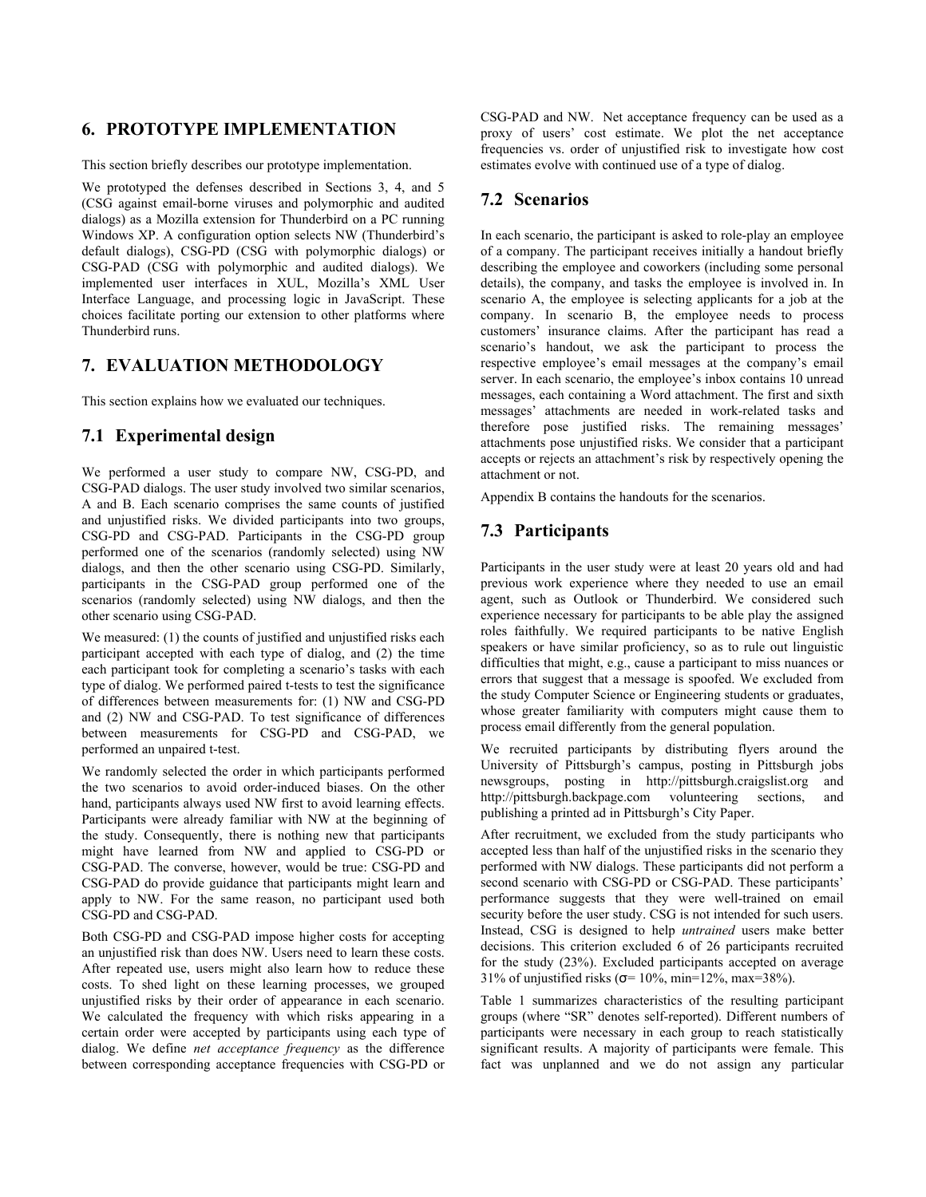## **6. PROTOTYPE IMPLEMENTATION**

This section briefly describes our prototype implementation.

We prototyped the defenses described in Sections 3, 4, and 5 (CSG against email-borne viruses and polymorphic and audited dialogs) as a Mozilla extension for Thunderbird on a PC running Windows XP. A configuration option selects NW (Thunderbird's default dialogs), CSG-PD (CSG with polymorphic dialogs) or CSG-PAD (CSG with polymorphic and audited dialogs). We implemented user interfaces in XUL, Mozilla's XML User Interface Language, and processing logic in JavaScript. These choices facilitate porting our extension to other platforms where Thunderbird runs.

# **7. EVALUATION METHODOLOGY**

This section explains how we evaluated our techniques.

# **7.1 Experimental design**

We performed a user study to compare NW, CSG-PD, and CSG-PAD dialogs. The user study involved two similar scenarios, A and B. Each scenario comprises the same counts of justified and unjustified risks. We divided participants into two groups, CSG-PD and CSG-PAD. Participants in the CSG-PD group performed one of the scenarios (randomly selected) using NW dialogs, and then the other scenario using CSG-PD. Similarly, participants in the CSG-PAD group performed one of the scenarios (randomly selected) using NW dialogs, and then the other scenario using CSG-PAD.

We measured: (1) the counts of justified and unjustified risks each participant accepted with each type of dialog, and (2) the time each participant took for completing a scenario's tasks with each type of dialog. We performed paired t-tests to test the significance of differences between measurements for: (1) NW and CSG-PD and (2) NW and CSG-PAD. To test significance of differences between measurements for CSG-PD and CSG-PAD, we performed an unpaired t-test.

We randomly selected the order in which participants performed the two scenarios to avoid order-induced biases. On the other hand, participants always used NW first to avoid learning effects. Participants were already familiar with NW at the beginning of the study. Consequently, there is nothing new that participants might have learned from NW and applied to CSG-PD or CSG-PAD. The converse, however, would be true: CSG-PD and CSG-PAD do provide guidance that participants might learn and apply to NW. For the same reason, no participant used both CSG-PD and CSG-PAD.

Both CSG-PD and CSG-PAD impose higher costs for accepting an unjustified risk than does NW. Users need to learn these costs. After repeated use, users might also learn how to reduce these costs. To shed light on these learning processes, we grouped unjustified risks by their order of appearance in each scenario. We calculated the frequency with which risks appearing in a certain order were accepted by participants using each type of dialog. We define *net acceptance frequency* as the difference between corresponding acceptance frequencies with CSG-PD or CSG-PAD and NW. Net acceptance frequency can be used as a proxy of users' cost estimate. We plot the net acceptance frequencies vs. order of unjustified risk to investigate how cost estimates evolve with continued use of a type of dialog.

# **7.2 Scenarios**

In each scenario, the participant is asked to role-play an employee of a company. The participant receives initially a handout briefly describing the employee and coworkers (including some personal details), the company, and tasks the employee is involved in. In scenario A, the employee is selecting applicants for a job at the company. In scenario B, the employee needs to process customers' insurance claims. After the participant has read a scenario's handout, we ask the participant to process the respective employee's email messages at the company's email server. In each scenario, the employee's inbox contains 10 unread messages, each containing a Word attachment. The first and sixth messages' attachments are needed in work-related tasks and therefore pose justified risks. The remaining messages' attachments pose unjustified risks. We consider that a participant accepts or rejects an attachment's risk by respectively opening the attachment or not.

Appendix B contains the handouts for the scenarios.

# **7.3 Participants**

Participants in the user study were at least 20 years old and had previous work experience where they needed to use an email agent, such as Outlook or Thunderbird. We considered such experience necessary for participants to be able play the assigned roles faithfully. We required participants to be native English speakers or have similar proficiency, so as to rule out linguistic difficulties that might, e.g., cause a participant to miss nuances or errors that suggest that a message is spoofed. We excluded from the study Computer Science or Engineering students or graduates, whose greater familiarity with computers might cause them to process email differently from the general population.

We recruited participants by distributing flyers around the University of Pittsburgh's campus, posting in Pittsburgh jobs newsgroups, posting in http://pittsburgh.craigslist.org and http://pittsburgh.backpage.com volunteering sections, and publishing a printed ad in Pittsburgh's City Paper.

After recruitment, we excluded from the study participants who accepted less than half of the unjustified risks in the scenario they performed with NW dialogs. These participants did not perform a second scenario with CSG-PD or CSG-PAD. These participants' performance suggests that they were well-trained on email security before the user study. CSG is not intended for such users. Instead, CSG is designed to help *untrained* users make better decisions. This criterion excluded 6 of 26 participants recruited for the study (23%). Excluded participants accepted on average 31% of unjustified risks ( $\sigma$ = 10%, min=12%, max=38%).

Table 1 summarizes characteristics of the resulting participant groups (where "SR" denotes self-reported). Different numbers of participants were necessary in each group to reach statistically significant results. A majority of participants were female. This fact was unplanned and we do not assign any particular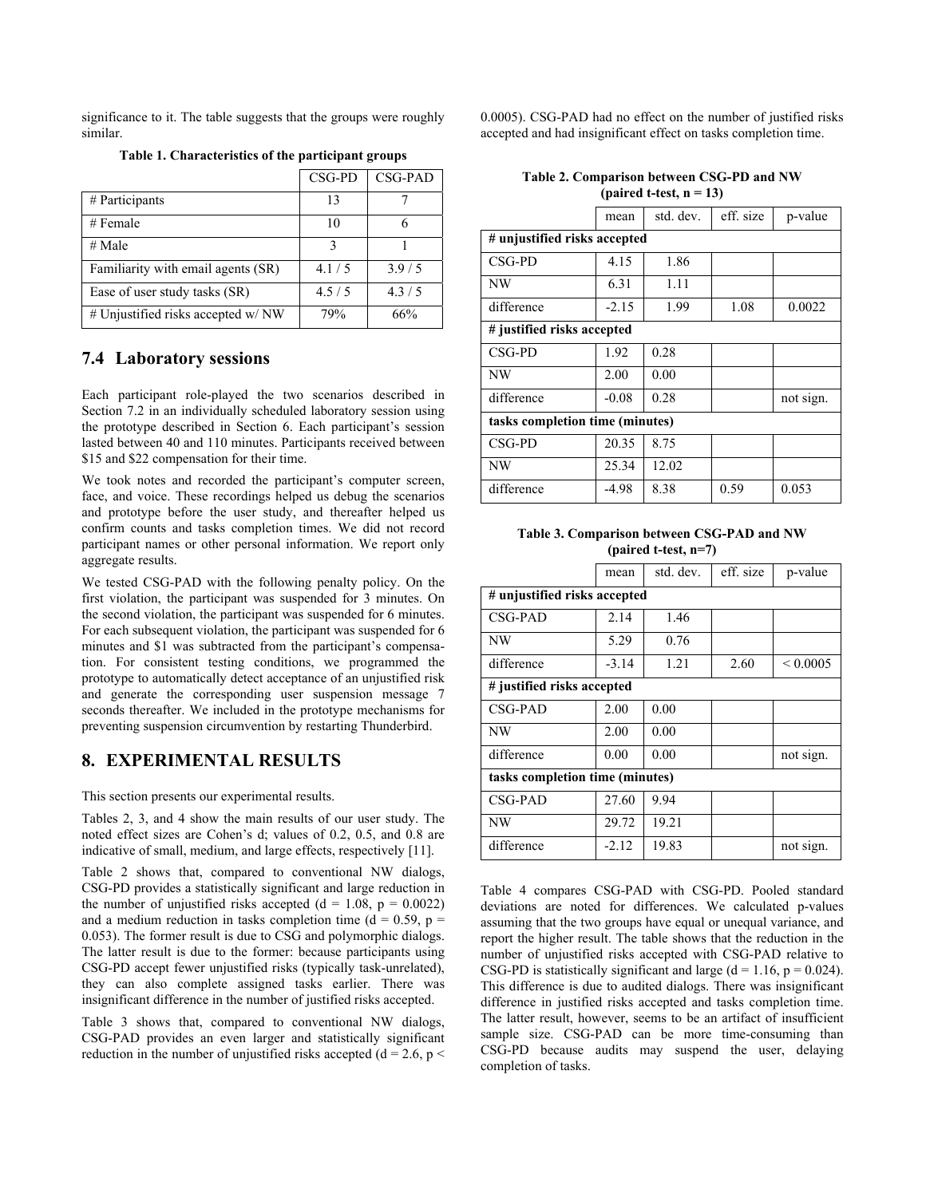significance to it. The table suggests that the groups were roughly similar.

|                                    | CSG-PD | <b>CSG-PAD</b> |
|------------------------------------|--------|----------------|
| $#$ Participants                   | 13     |                |
| # Female                           | 10     |                |
| # Male                             | 3      |                |
| Familiarity with email agents (SR) | 4.1/5  | 3.9/5          |
| Ease of user study tasks (SR)      | 4.5/5  | 4.3/5          |
| # Unjustified risks accepted w/ NW | 79%    | 66%            |

|  | Table 1. Characteristics of the participant groups |  |  |  |  |
|--|----------------------------------------------------|--|--|--|--|
|--|----------------------------------------------------|--|--|--|--|

#### **7.4 Laboratory sessions**

Each participant role-played the two scenarios described in Section 7.2 in an individually scheduled laboratory session using the prototype described in Section 6. Each participant's session lasted between 40 and 110 minutes. Participants received between \$15 and \$22 compensation for their time.

We took notes and recorded the participant's computer screen, face, and voice. These recordings helped us debug the scenarios and prototype before the user study, and thereafter helped us confirm counts and tasks completion times. We did not record participant names or other personal information. We report only aggregate results.

We tested CSG-PAD with the following penalty policy. On the first violation, the participant was suspended for 3 minutes. On the second violation, the participant was suspended for 6 minutes. For each subsequent violation, the participant was suspended for 6 minutes and \$1 was subtracted from the participant's compensation. For consistent testing conditions, we programmed the prototype to automatically detect acceptance of an unjustified risk and generate the corresponding user suspension message 7 seconds thereafter. We included in the prototype mechanisms for preventing suspension circumvention by restarting Thunderbird.

## **8. EXPERIMENTAL RESULTS**

This section presents our experimental results.

Tables 2, 3, and 4 show the main results of our user study. The noted effect sizes are Cohen's d; values of 0.2, 0.5, and 0.8 are indicative of small, medium, and large effects, respectively [11].

Table 2 shows that, compared to conventional NW dialogs, CSG-PD provides a statistically significant and large reduction in the number of unjustified risks accepted ( $d = 1.08$ ,  $p = 0.0022$ ) and a medium reduction in tasks completion time ( $d = 0.59$ ,  $p =$ 0.053). The former result is due to CSG and polymorphic dialogs. The latter result is due to the former: because participants using CSG-PD accept fewer unjustified risks (typically task-unrelated), they can also complete assigned tasks earlier. There was insignificant difference in the number of justified risks accepted.

Table 3 shows that, compared to conventional NW dialogs, CSG-PAD provides an even larger and statistically significant reduction in the number of unjustified risks accepted ( $d = 2.6$ ,  $p <$  0.0005). CSG-PAD had no effect on the number of justified risks accepted and had insignificant effect on tasks completion time.

| Table 2. Comparison between CSG-PD and NW |  |
|-------------------------------------------|--|
| (paired t-test, $n = 13$ )                |  |

|                                 | mean    | std. dev. | eff. size | p-value   |  |  |
|---------------------------------|---------|-----------|-----------|-----------|--|--|
| # unjustified risks accepted    |         |           |           |           |  |  |
| CSG-PD                          | 4.15    | 1.86      |           |           |  |  |
| NW                              | 6.31    | 1.11      |           |           |  |  |
| difference                      | $-2.15$ | 1.99      | 1.08      | 0.0022    |  |  |
| # justified risks accepted      |         |           |           |           |  |  |
| CSG-PD                          | 1.92    | 0.28      |           |           |  |  |
| NW                              | 2.00    | 0.00      |           |           |  |  |
| difference                      | $-0.08$ | 0.28      |           | not sign. |  |  |
| tasks completion time (minutes) |         |           |           |           |  |  |
| CSG-PD                          | 20.35   | 8.75      |           |           |  |  |
| NW                              | 25.34   | 12.02     |           |           |  |  |
| difference                      | -4.98   | 8.38      | 0.59      | 0.053     |  |  |

**Table 3. Comparison between CSG-PAD and NW (paired t-test, n=7)** 

|                                 | mean    | std. dev. | eff. size | p-value       |  |
|---------------------------------|---------|-----------|-----------|---------------|--|
| # unjustified risks accepted    |         |           |           |               |  |
| CSG-PAD                         | 2.14    | 1.46      |           |               |  |
| NW                              | 5.29    | 0.76      |           |               |  |
| difference                      | $-3.14$ | 1.21      | 2.60      | ${}_{0.0005}$ |  |
| # justified risks accepted      |         |           |           |               |  |
| CSG-PAD                         | 2.00    | 0.00      |           |               |  |
| NW                              | 2.00    | 0.00      |           |               |  |
| difference                      | 0.00    | 0.00      |           | not sign.     |  |
| tasks completion time (minutes) |         |           |           |               |  |
| CSG-PAD                         | 27.60   | 9.94      |           |               |  |
| NW                              | 29.72   | 19.21     |           |               |  |
| difference                      | $-2.12$ | 19.83     |           | not sign.     |  |

Table 4 compares CSG-PAD with CSG-PD. Pooled standard deviations are noted for differences. We calculated p-values assuming that the two groups have equal or unequal variance, and report the higher result. The table shows that the reduction in the number of unjustified risks accepted with CSG-PAD relative to CSG-PD is statistically significant and large  $(d = 1.16, p = 0.024)$ . This difference is due to audited dialogs. There was insignificant difference in justified risks accepted and tasks completion time. The latter result, however, seems to be an artifact of insufficient sample size. CSG-PAD can be more time-consuming than CSG-PD because audits may suspend the user, delaying completion of tasks.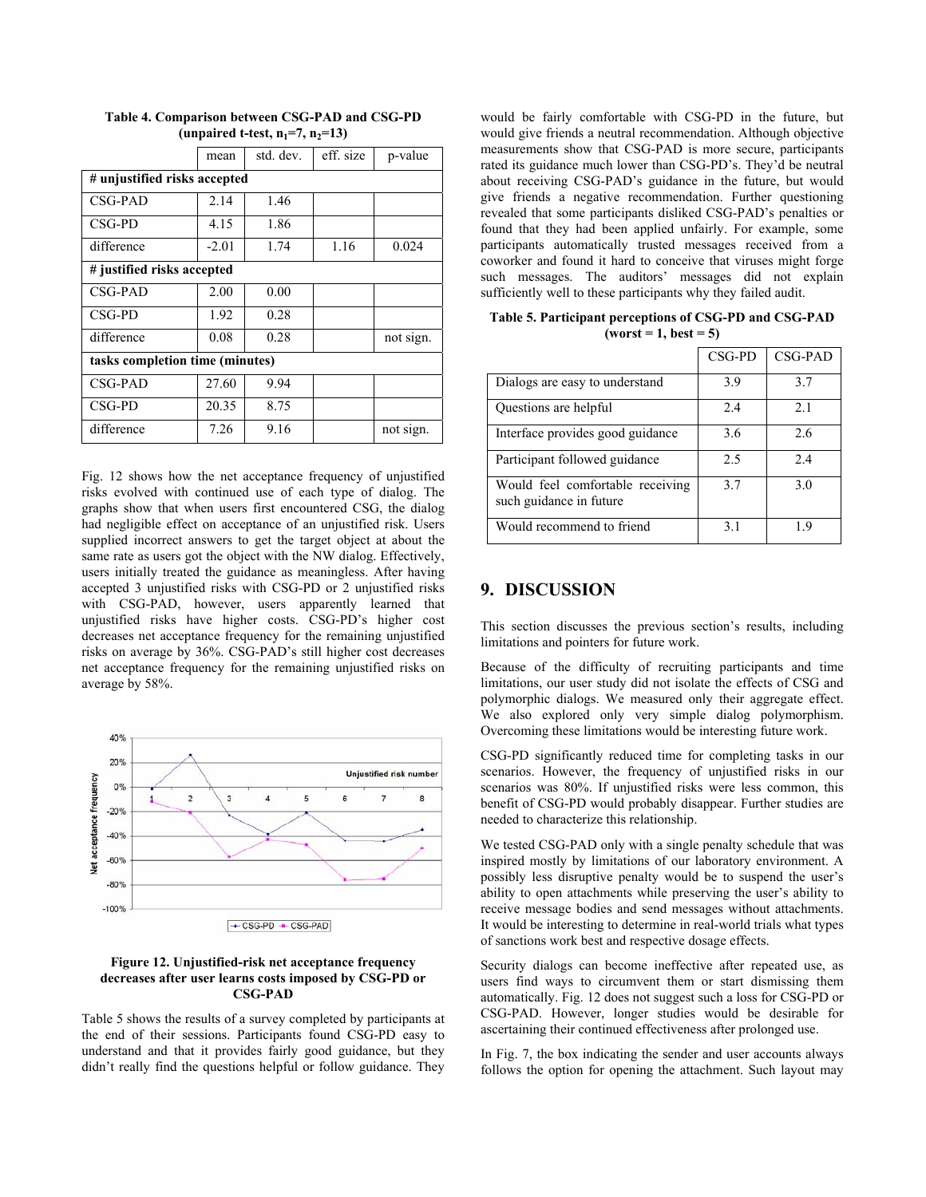|                                 | mean    | std. dev. | eff. size | p-value   |  |
|---------------------------------|---------|-----------|-----------|-----------|--|
| # unjustified risks accepted    |         |           |           |           |  |
| CSG-PAD                         | 2.14    | 1.46      |           |           |  |
| $CSG-PD$                        | 4.15    | 1.86      |           |           |  |
| difference                      | $-2.01$ | 1.74      | 1.16      | 0.024     |  |
| # justified risks accepted      |         |           |           |           |  |
| CSG-PAD                         | 2.00    | 0.00      |           |           |  |
| $CSG-PD$                        | 1.92    | 0.28      |           |           |  |
| difference                      | 0.08    | 0.28      |           | not sign. |  |
| tasks completion time (minutes) |         |           |           |           |  |
| CSG-PAD                         | 27.60   | 9.94      |           |           |  |
| $CSG-PD$                        | 20.35   | 8.75      |           |           |  |
| difference                      | 7.26    | 9.16      |           | not sign. |  |

**Table 4. Comparison between CSG-PAD and CSG-PD**   $(unpaired t-test, n<sub>1</sub>=7, n<sub>2</sub>=13)$ 

Fig. 12 shows how the net acceptance frequency of unjustified risks evolved with continued use of each type of dialog. The graphs show that when users first encountered CSG, the dialog had negligible effect on acceptance of an unjustified risk. Users supplied incorrect answers to get the target object at about the same rate as users got the object with the NW dialog. Effectively, users initially treated the guidance as meaningless. After having accepted 3 unjustified risks with CSG-PD or 2 unjustified risks with CSG-PAD, however, users apparently learned that unjustified risks have higher costs. CSG-PD's higher cost decreases net acceptance frequency for the remaining unjustified risks on average by 36%. CSG-PAD's still higher cost decreases net acceptance frequency for the remaining unjustified risks on average by 58%.



#### **Figure 12. Unjustified-risk net acceptance frequency decreases after user learns costs imposed by CSG-PD or CSG-PAD**

Table 5 shows the results of a survey completed by participants at the end of their sessions. Participants found CSG-PD easy to understand and that it provides fairly good guidance, but they didn't really find the questions helpful or follow guidance. They would be fairly comfortable with CSG-PD in the future, but would give friends a neutral recommendation. Although objective measurements show that CSG-PAD is more secure, participants rated its guidance much lower than CSG-PD's. They'd be neutral about receiving CSG-PAD's guidance in the future, but would give friends a negative recommendation. Further questioning revealed that some participants disliked CSG-PAD's penalties or found that they had been applied unfairly. For example, some participants automatically trusted messages received from a coworker and found it hard to conceive that viruses might forge such messages. The auditors' messages did not explain sufficiently well to these participants why they failed audit.

**Table 5. Participant perceptions of CSG-PD and CSG-PAD**   $\vec{w}$  (worst = 1, best = 5)

|                                                             | CSG-PD | CSG-PAD |
|-------------------------------------------------------------|--------|---------|
| Dialogs are easy to understand                              | 3.9    | 3.7     |
| Questions are helpful                                       | 2.4    | 2.1     |
| Interface provides good guidance                            | 3.6    | 2.6     |
| Participant followed guidance                               | 2.5    | 2.4     |
| Would feel comfortable receiving<br>such guidance in future | 37     | 30      |
| Would recommend to friend                                   | 31     |         |

### **9. DISCUSSION**

This section discusses the previous section's results, including limitations and pointers for future work.

Because of the difficulty of recruiting participants and time limitations, our user study did not isolate the effects of CSG and polymorphic dialogs. We measured only their aggregate effect. We also explored only very simple dialog polymorphism. Overcoming these limitations would be interesting future work.

CSG-PD significantly reduced time for completing tasks in our scenarios. However, the frequency of unjustified risks in our scenarios was 80%. If unjustified risks were less common, this benefit of CSG-PD would probably disappear. Further studies are needed to characterize this relationship.

We tested CSG-PAD only with a single penalty schedule that was inspired mostly by limitations of our laboratory environment. A possibly less disruptive penalty would be to suspend the user's ability to open attachments while preserving the user's ability to receive message bodies and send messages without attachments. It would be interesting to determine in real-world trials what types of sanctions work best and respective dosage effects.

Security dialogs can become ineffective after repeated use, as users find ways to circumvent them or start dismissing them automatically. Fig. 12 does not suggest such a loss for CSG-PD or CSG-PAD. However, longer studies would be desirable for ascertaining their continued effectiveness after prolonged use.

In Fig. 7, the box indicating the sender and user accounts always follows the option for opening the attachment. Such layout may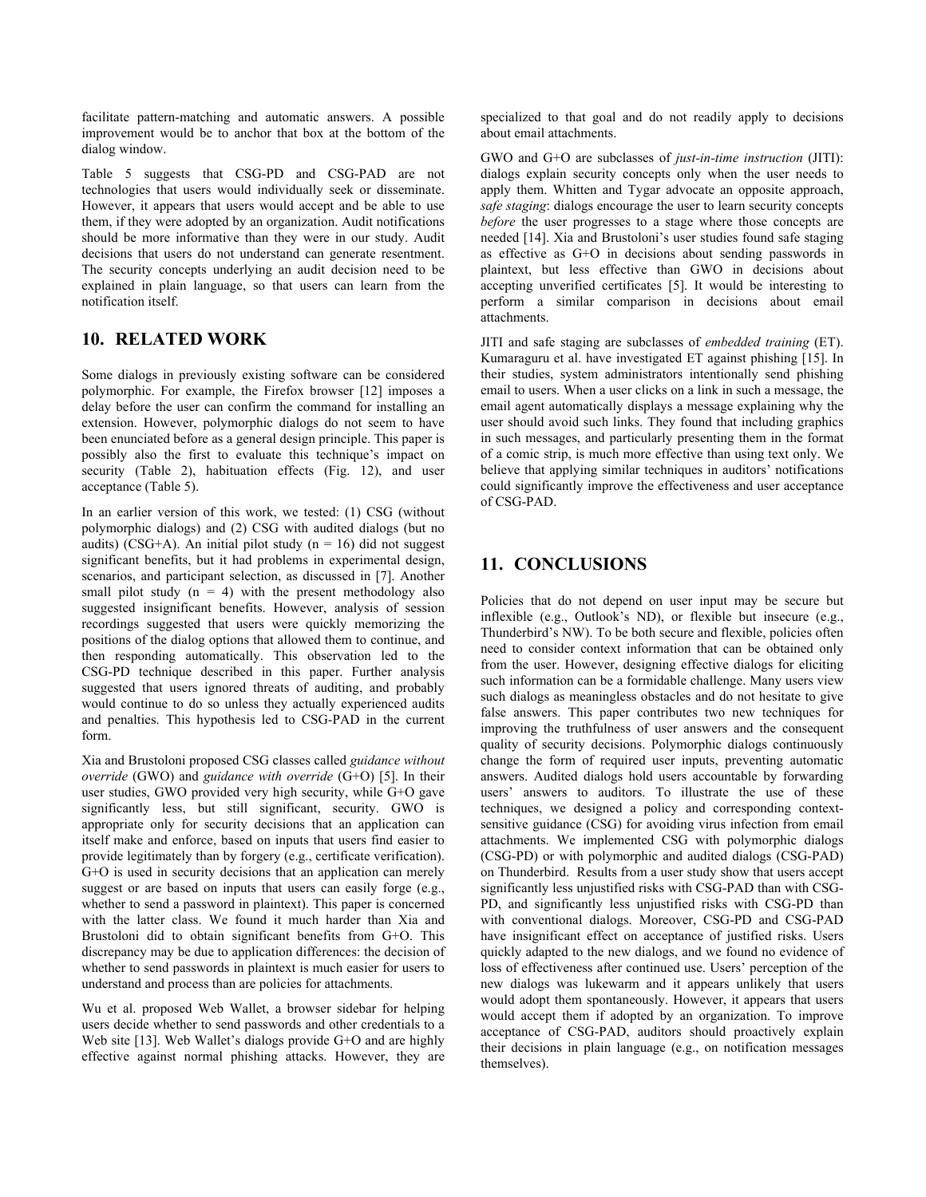facilitate pattern-matching and automatic answers. A possible improvement would be to anchor that box at the bottom of the dialog window.

Table 5 suggests that CSG-PD and CSG-PAD are not technologies that users would individually seek or disseminate. However, it appears that users would accept and be able to use them, if they were adopted by an organization. Audit notifications should be more informative than they were in our study. Audit decisions that users do not understand can generate resentment. The security concepts underlying an audit decision need to be explained in plain language, so that users can learn from the notification itself.

# **10. RELATED WORK**

Some dialogs in previously existing software can be considered polymorphic. For example, the Firefox browser [12] imposes a delay before the user can confirm the command for installing an extension. However, polymorphic dialogs do not seem to have been enunciated before as a general design principle. This paper is possibly also the first to evaluate this technique's impact on security (Table 2), habituation effects (Fig. 12), and user acceptance (Table 5).

In an earlier version of this work, we tested: (1) CSG (without polymorphic dialogs) and (2) CSG with audited dialogs (but no audits) (CSG+A). An initial pilot study ( $n = 16$ ) did not suggest significant benefits, but it had problems in experimental design, scenarios, and participant selection, as discussed in [7]. Another small pilot study  $(n = 4)$  with the present methodology also suggested insignificant benefits. However, analysis of session recordings suggested that users were quickly memorizing the positions of the dialog options that allowed them to continue, and then responding automatically. This observation led to the CSG-PD technique described in this paper. Further analysis suggested that users ignored threats of auditing, and probably would continue to do so unless they actually experienced audits and penalties. This hypothesis led to CSG-PAD in the current form.

Xia and Brustoloni proposed CSG classes called *guidance without override* (GWO) and *guidance with override* (G+O) [5]. In their user studies, GWO provided very high security, while G+O gave significantly less, but still significant, security. GWO is appropriate only for security decisions that an application can itself make and enforce, based on inputs that users find easier to provide legitimately than by forgery (e.g., certificate verification). G+O is used in security decisions that an application can merely suggest or are based on inputs that users can easily forge (e.g., whether to send a password in plaintext). This paper is concerned with the latter class. We found it much harder than Xia and Brustoloni did to obtain significant benefits from G+O. This discrepancy may be due to application differences: the decision of whether to send passwords in plaintext is much easier for users to understand and process than are policies for attachments.

Wu et al. proposed Web Wallet, a browser sidebar for helping users decide whether to send passwords and other credentials to a Web site [13]. Web Wallet's dialogs provide G+O and are highly effective against normal phishing attacks. However, they are

specialized to that goal and do not readily apply to decisions about email attachments.

GWO and G+O are subclasses of *just-in-time instruction* (JITI): dialogs explain security concepts only when the user needs to apply them. Whitten and Tygar advocate an opposite approach, *safe staging*: dialogs encourage the user to learn security concepts *before* the user progresses to a stage where those concepts are needed [14]. Xia and Brustoloni's user studies found safe staging as effective as G+O in decisions about sending passwords in plaintext, but less effective than GWO in decisions about accepting unverified certificates [5]. It would be interesting to perform a similar comparison in decisions about email attachments.

JITI and safe staging are subclasses of *embedded training* (ET). Kumaraguru et al. have investigated ET against phishing [15]. In their studies, system administrators intentionally send phishing email to users. When a user clicks on a link in such a message, the email agent automatically displays a message explaining why the user should avoid such links. They found that including graphics in such messages, and particularly presenting them in the format of a comic strip, is much more effective than using text only. We believe that applying similar techniques in auditors' notifications could significantly improve the effectiveness and user acceptance of CSG-PAD.

# **11. CONCLUSIONS**

Policies that do not depend on user input may be secure but inflexible (e.g., Outlook's ND), or flexible but insecure (e.g., Thunderbird's NW). To be both secure and flexible, policies often need to consider context information that can be obtained only from the user. However, designing effective dialogs for eliciting such information can be a formidable challenge. Many users view such dialogs as meaningless obstacles and do not hesitate to give false answers. This paper contributes two new techniques for improving the truthfulness of user answers and the consequent quality of security decisions. Polymorphic dialogs continuously change the form of required user inputs, preventing automatic answers. Audited dialogs hold users accountable by forwarding users' answers to auditors. To illustrate the use of these techniques, we designed a policy and corresponding contextsensitive guidance (CSG) for avoiding virus infection from email attachments. We implemented CSG with polymorphic dialogs (CSG-PD) or with polymorphic and audited dialogs (CSG-PAD) on Thunderbird. Results from a user study show that users accept significantly less unjustified risks with CSG-PAD than with CSG-PD, and significantly less unjustified risks with CSG-PD than with conventional dialogs. Moreover, CSG-PD and CSG-PAD have insignificant effect on acceptance of justified risks. Users quickly adapted to the new dialogs, and we found no evidence of loss of effectiveness after continued use. Users' perception of the new dialogs was lukewarm and it appears unlikely that users would adopt them spontaneously. However, it appears that users would accept them if adopted by an organization. To improve acceptance of CSG-PAD, auditors should proactively explain their decisions in plain language (e.g., on notification messages themselves).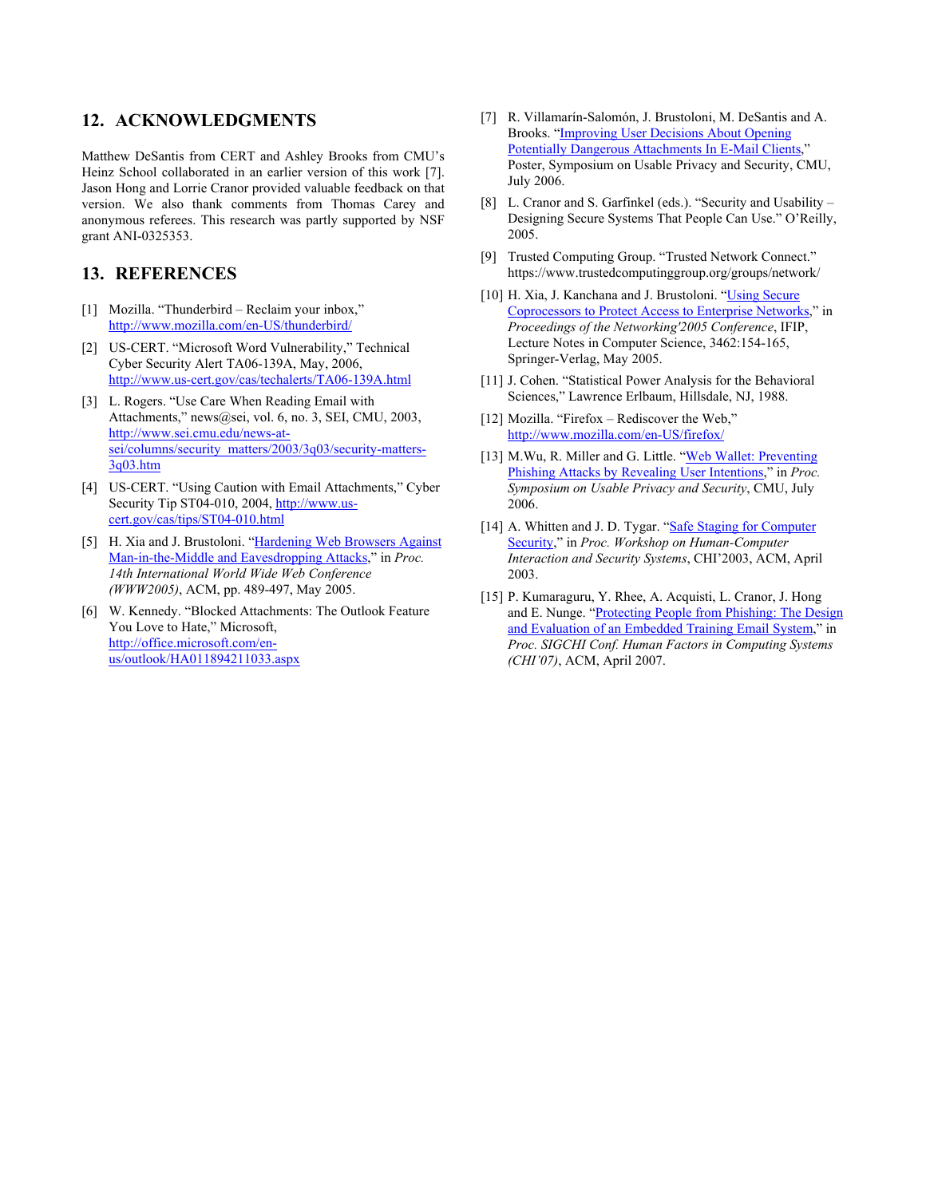### **12. ACKNOWLEDGMENTS**

Matthew DeSantis from CERT and Ashley Brooks from CMU's Heinz School collaborated in an earlier version of this work [7]. Jason Hong and Lorrie Cranor provided valuable feedback on that version. We also thank comments from Thomas Carey and anonymous referees. This research was partly supported by NSF grant ANI-0325353.

# **13. REFERENCES**

- [1] Mozilla. "Thunderbird Reclaim your inbox," http://www.mozilla.com/en-US/thunderbird/
- [2] US-CERT. "Microsoft Word Vulnerability," Technical Cyber Security Alert TA06-139A, May, 2006, http://www.us-cert.gov/cas/techalerts/TA06-139A.html
- [3] L. Rogers. "Use Care When Reading Email with Attachments," news@sei, vol. 6, no. 3, SEI, CMU, 2003, http://www.sei.cmu.edu/news-atsei/columns/security\_matters/2003/3q03/security-matters-3q03.htm
- [4] US-CERT. "Using Caution with Email Attachments," Cyber Security Tip ST04-010, 2004, http://www.uscert.gov/cas/tips/ST04-010.html
- [5] H. Xia and J. Brustoloni. "Hardening Web Browsers Against Man-in-the-Middle and Eavesdropping Attacks," in *Proc. 14th International World Wide Web Conference (WWW2005)*, ACM, pp. 489-497, May 2005.
- [6] W. Kennedy. "Blocked Attachments: The Outlook Feature You Love to Hate," Microsoft, http://office.microsoft.com/enus/outlook/HA011894211033.aspx
- [7] R. Villamarín-Salomón, J. Brustoloni, M. DeSantis and A. Brooks. "Improving User Decisions About Opening Potentially Dangerous Attachments In E-Mail Clients," Poster, Symposium on Usable Privacy and Security, CMU, July 2006.
- [8] L. Cranor and S. Garfinkel (eds.). "Security and Usability Designing Secure Systems That People Can Use." O'Reilly, 2005.
- [9] Trusted Computing Group. "Trusted Network Connect." https://www.trustedcomputinggroup.org/groups/network/
- [10] H. Xia, J. Kanchana and J. Brustoloni. "Using Secure Coprocessors to Protect Access to Enterprise Networks," in *Proceedings of the Networking'2005 Conference*, IFIP, Lecture Notes in Computer Science, 3462:154-165, Springer-Verlag, May 2005.
- [11] J. Cohen. "Statistical Power Analysis for the Behavioral Sciences," Lawrence Erlbaum, Hillsdale, NJ, 1988.
- [12] Mozilla. "Firefox Rediscover the Web," http://www.mozilla.com/en-US/firefox/
- [13] M.Wu, R. Miller and G. Little. "Web Wallet: Preventing Phishing Attacks by Revealing User Intentions," in *Proc. Symposium on Usable Privacy and Security*, CMU, July 2006.
- [14] A. Whitten and J. D. Tygar. "Safe Staging for Computer Security," in *Proc. Workshop on Human-Computer Interaction and Security Systems*, CHI'2003, ACM, April 2003.
- [15] P. Kumaraguru, Y. Rhee, A. Acquisti, L. Cranor, J. Hong and E. Nunge. "Protecting People from Phishing: The Design and Evaluation of an Embedded Training Email System," in *Proc. SIGCHI Conf. Human Factors in Computing Systems (CHI'07)*, ACM, April 2007.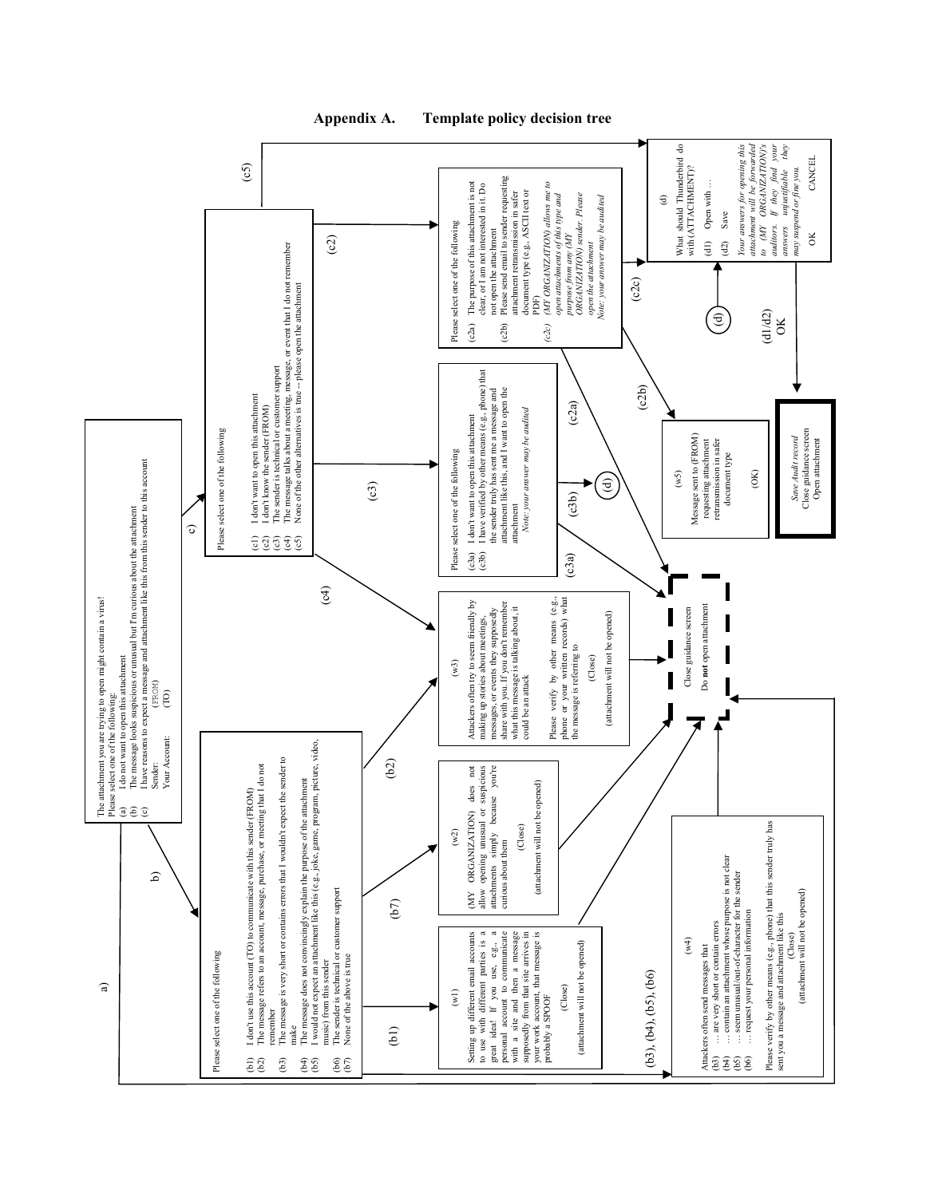**Appendix A. Template policy decision tree**